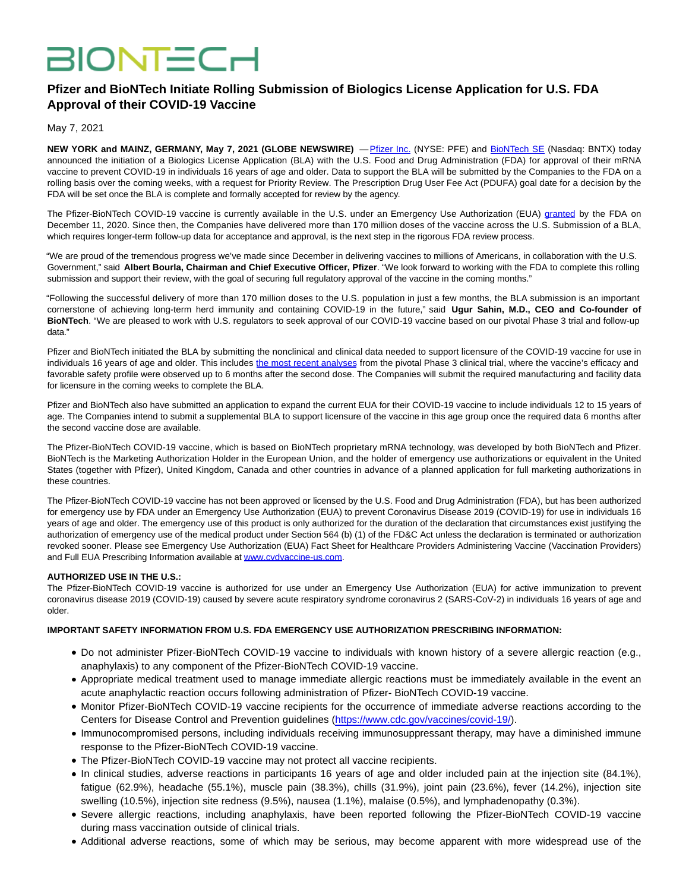# **BIONTECH**

# **Pfizer and BioNTech Initiate Rolling Submission of Biologics License Application for U.S. FDA Approval of their COVID-19 Vaccine**

May 7, 2021

**NEW YORK and MAINZ, GERMANY, May 7, 2021 (GLOBE NEWSWIRE)** [— Pfizer Inc.](https://www.globenewswire.com/Tracker?data=CT8BGxhW-CIoWKz4TJBNN2HQNZhwyMa4ONdD-7OsqQnM5smQylTLuuw25NQDL2-N6qVjkWr3_wixUWFeCb7Gkw==) (NYSE: PFE) and [BioNTech SE \(](https://www.globenewswire.com/Tracker?data=Ber5Rjxv3mygqjqM8iXbNAJIN2T4B8rRebkkKEhaNG3lIpq9X0xG64l9m1TLgU75-XPo5iCMtLuvnJy2J6q2xg==)Nasdaq: BNTX) today announced the initiation of a Biologics License Application (BLA) with the U.S. Food and Drug Administration (FDA) for approval of their mRNA vaccine to prevent COVID-19 in individuals 16 years of age and older. Data to support the BLA will be submitted by the Companies to the FDA on a rolling basis over the coming weeks, with a request for Priority Review. The Prescription Drug User Fee Act (PDUFA) goal date for a decision by the FDA will be set once the BLA is complete and formally accepted for review by the agency.

The Pfizer-BioNTech COVID-19 vaccine is currently available in the U.S. under an Emergency Use Authorization (EUA) [granted](https://www.globenewswire.com/Tracker?data=ZlJwNf2ObNtnHxCbxuOoTG5-wC-W9sXHjAiE6j1QOyp517HP3_jp3XO66ngJ6aEf8M2RtuJctaGkDYw1p92gSCwnJYVDSRE3N4GyMzXI1iNYkbIpgMTEF2YNgB2BSCA0Ir3W-PogRe2V696XV9nn_UHomrIVm_isCfYeFaDKxd0fJcCOpGwB15WFe2kxPzkStvWX6ju_jFhVPFcntuyBcw==) by the FDA on December 11, 2020. Since then, the Companies have delivered more than 170 million doses of the vaccine across the U.S. Submission of a BLA, which requires longer-term follow-up data for acceptance and approval, is the next step in the rigorous FDA review process.

"We are proud of the tremendous progress we've made since December in delivering vaccines to millions of Americans, in collaboration with the U.S. Government," said **Albert Bourla, Chairman and Chief Executive Officer, Pfizer**. "We look forward to working with the FDA to complete this rolling submission and support their review, with the goal of securing full regulatory approval of the vaccine in the coming months."

"Following the successful delivery of more than 170 million doses to the U.S. population in just a few months, the BLA submission is an important cornerstone of achieving long-term herd immunity and containing COVID-19 in the future," said **Ugur Sahin, M.D., CEO and Co-founder of BioNTech**. "We are pleased to work with U.S. regulators to seek approval of our COVID-19 vaccine based on our pivotal Phase 3 trial and follow-up data."

Pfizer and BioNTech initiated the BLA by submitting the nonclinical and clinical data needed to support licensure of the COVID-19 vaccine for use in individuals 16 years of age and older. This includes [the most recent analyses f](https://www.globenewswire.com/Tracker?data=4coLix_DeIhMBdUj590VKNogjzYw_h-3fdibT6w6ulOVFNTkYwlfLdENoFVY28SVcQhHWPyhj2lOpCw2fSTm_7RYDvEpCxiD-Mt9Zfpxhx8Fq1wCq0ILxoZZMGMoQlBVwlwMoyP-p0WoP97N1FVPvJXrGt8J40imC3lJKeTD6ro4Qh21ZqUZ2wHYdJdzDqjZsbVtAX4Y2TTHh6JKhgWVWyghwU76KafoNvK2nhEDXtg=)rom the pivotal Phase 3 clinical trial, where the vaccine's efficacy and favorable safety profile were observed up to 6 months after the second dose. The Companies will submit the required manufacturing and facility data for licensure in the coming weeks to complete the BLA.

Pfizer and BioNTech also have submitted an application to expand the current EUA for their COVID-19 vaccine to include individuals 12 to 15 years of age. The Companies intend to submit a supplemental BLA to support licensure of the vaccine in this age group once the required data 6 months after the second vaccine dose are available.

The Pfizer-BioNTech COVID-19 vaccine, which is based on BioNTech proprietary mRNA technology, was developed by both BioNTech and Pfizer. BioNTech is the Marketing Authorization Holder in the European Union, and the holder of emergency use authorizations or equivalent in the United States (together with Pfizer), United Kingdom, Canada and other countries in advance of a planned application for full marketing authorizations in these countries.

The Pfizer-BioNTech COVID-19 vaccine has not been approved or licensed by the U.S. Food and Drug Administration (FDA), but has been authorized for emergency use by FDA under an Emergency Use Authorization (EUA) to prevent Coronavirus Disease 2019 (COVID-19) for use in individuals 16 years of age and older. The emergency use of this product is only authorized for the duration of the declaration that circumstances exist justifying the authorization of emergency use of the medical product under Section 564 (b) (1) of the FD&C Act unless the declaration is terminated or authorization revoked sooner. Please see Emergency Use Authorization (EUA) Fact Sheet for Healthcare Providers Administering Vaccine (Vaccination Providers) and Full EUA Prescribing Information available at [www.cvdvaccine-us.com.](https://www.globenewswire.com/Tracker?data=WJ1gsG8RgN48zYloX6sIs_uc8Zhx6zgRPvrSK_7l9glSDN0bNBPAVYmUDSkf91-RWUJeUTycAeG9jB5_9SZY6zzI8hXq1u3f9VfPxUvBpqA=)

## **AUTHORIZED USE IN THE U.S.:**

The Pfizer-BioNTech COVID-19 vaccine is authorized for use under an Emergency Use Authorization (EUA) for active immunization to prevent coronavirus disease 2019 (COVID-19) caused by severe acute respiratory syndrome coronavirus 2 (SARS-CoV-2) in individuals 16 years of age and older.

## **IMPORTANT SAFETY INFORMATION FROM U.S. FDA EMERGENCY USE AUTHORIZATION PRESCRIBING INFORMATION:**

- Do not administer Pfizer-BioNTech COVID-19 vaccine to individuals with known history of a severe allergic reaction (e.g., anaphylaxis) to any component of the Pfizer-BioNTech COVID-19 vaccine.
- Appropriate medical treatment used to manage immediate allergic reactions must be immediately available in the event an acute anaphylactic reaction occurs following administration of Pfizer- BioNTech COVID-19 vaccine.
- Monitor Pfizer-BioNTech COVID-19 vaccine recipients for the occurrence of immediate adverse reactions according to the Centers for Disease Control and Prevention guidelines [\(https://www.cdc.gov/vaccines/covid-19/\).](https://www.cdc.gov/vaccines/covid-19/)
- Immunocompromised persons, including individuals receiving immunosuppressant therapy, may have a diminished immune response to the Pfizer-BioNTech COVID-19 vaccine.
- The Pfizer-BioNTech COVID-19 vaccine may not protect all vaccine recipients.
- In clinical studies, adverse reactions in participants 16 years of age and older included pain at the injection site (84.1%), fatigue (62.9%), headache (55.1%), muscle pain (38.3%), chills (31.9%), joint pain (23.6%), fever (14.2%), injection site swelling (10.5%), injection site redness (9.5%), nausea (1.1%), malaise (0.5%), and lymphadenopathy (0.3%).
- Severe allergic reactions, including anaphylaxis, have been reported following the Pfizer-BioNTech COVID-19 vaccine during mass vaccination outside of clinical trials.
- Additional adverse reactions, some of which may be serious, may become apparent with more widespread use of the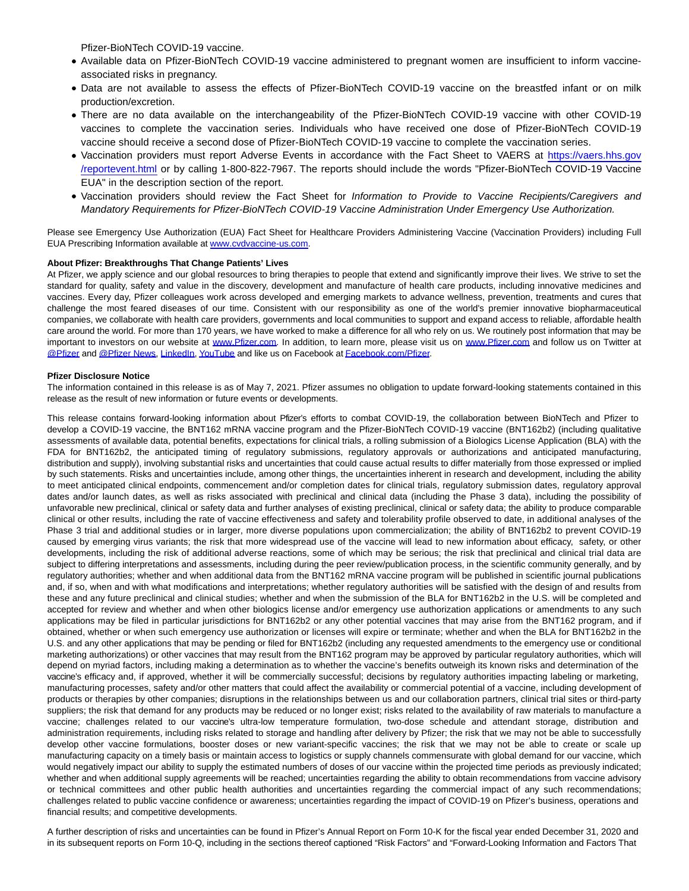Pfizer-BioNTech COVID-19 vaccine.

- Available data on Pfizer-BioNTech COVID-19 vaccine administered to pregnant women are insufficient to inform vaccineassociated risks in pregnancy.
- Data are not available to assess the effects of Pfizer-BioNTech COVID-19 vaccine on the breastfed infant or on milk production/excretion.
- There are no data available on the interchangeability of the Pfizer-BioNTech COVID-19 vaccine with other COVID-19 vaccines to complete the vaccination series. Individuals who have received one dose of Pfizer-BioNTech COVID-19 vaccine should receive a second dose of Pfizer-BioNTech COVID-19 vaccine to complete the vaccination series.
- Vaccination providers must report Adverse Events in accordance with the Fact Sheet to VAERS at [https://vaers.hhs.gov](https://vaers.hhs.gov/reportevent.html) /reportevent.html or by calling 1-800-822-7967. The reports should include the words "Pfizer-BioNTech COVID-19 Vaccine EUA" in the description section of the report.
- Vaccination providers should review the Fact Sheet for Information to Provide to Vaccine Recipients/Caregivers and Mandatory Requirements for Pfizer-BioNTech COVID-19 Vaccine Administration Under Emergency Use Authorization.

Please see Emergency Use Authorization (EUA) Fact Sheet for Healthcare Providers Administering Vaccine (Vaccination Providers) including Full EUA Prescribing Information available at [www.cvdvaccine-us.com.](https://www.globenewswire.com/Tracker?data=WJ1gsG8RgN48zYloX6sIs_uc8Zhx6zgRPvrSK_7l9gn4KpHuHrDswoCp9pLC73UiRoyBz9dRqzoSwvb1qHvRyJIFqvGlP-eFUlT3M2_AKr0=) 

#### **About Pfizer: Breakthroughs That Change Patients' Lives**

At Pfizer, we apply science and our global resources to bring therapies to people that extend and significantly improve their lives. We strive to set the standard for quality, safety and value in the discovery, development and manufacture of health care products, including innovative medicines and vaccines. Every day, Pfizer colleagues work across developed and emerging markets to advance wellness, prevention, treatments and cures that challenge the most feared diseases of our time. Consistent with our responsibility as one of the world's premier innovative biopharmaceutical companies, we collaborate with health care providers, governments and local communities to support and expand access to reliable, affordable health care around the world. For more than 170 years, we have worked to make a difference for all who rely on us. We routinely post information that may be important to investors on our website at [www.Pfizer.com.](https://www.globenewswire.com/Tracker?data=WJ1gsG8RgN48zYloX6sIsx6f4j6TweIROpmlN8e_bKyZHZCww5c7GcB1ejpzA40qF0ZXWdG4rhhgU2JYsyRF9Q==) In addition, to learn more, please visit us on [www.Pfizer.com a](https://www.globenewswire.com/Tracker?data=WJ1gsG8RgN48zYloX6sIs5ipPqL8cNbDEtLiVm7MC80YWAsi6KRgRaIivVVmWruzZNATMqTrM1WKEXOpFyO1dw==)nd follow us on Twitter at [@Pfizer a](https://www.globenewswire.com/Tracker?data=cJ_TGykbIuyN58DxpN1tiHHgF9ym4YvUCeWeEWZMUM0egI6SvW5ee15-wEXzGCQ4S7_lYtnVOM9lKbFBues4Pg==)nd [@Pfizer News,](https://www.globenewswire.com/Tracker?data=cJ_TGykbIuyN58DxpN1tiI6ZWyWnJh5TkG_CZnn6aeMcGWOu3aUBLSaVGN4sow8iFRrHTCybj_B26qLNLdsuM_kuMUBug9Jlrr7GKaYUPbk=) [LinkedIn,](https://www.globenewswire.com/Tracker?data=tRXbqhpLcN3iPKvZBvoP2L4WuC_5ocHFfXvElE4dcO47C8GzYyMxsKDrU8fT4U_wvCHgPMou1qUOp4V86rftIuuyuF0EmMOa2t-GrSQRSSk=) [YouTube a](https://www.globenewswire.com/Tracker?data=o8jpjFAeFxJvh8POWVlCJl6DKjwhZfaD8KbP5hBuz-HO2FPs1ZmNPJwwajAva7tXdEs_v544FWBGGhwssUzTpA==)nd like us on Facebook a[t Facebook.com/Pfizer.](https://www.globenewswire.com/Tracker?data=48g1sZCIhyMvGWo9P46PcUCff0I_1AIK6MbsaPGaSWrIKmnOrLnfqyspOF1NivLLhemwHrZcIxbL81cZcsXjZrV6QQ-0LonK6GDaFvAxAkA=)

#### **Pfizer Disclosure Notice**

The information contained in this release is as of May 7, 2021. Pfizer assumes no obligation to update forward-looking statements contained in this release as the result of new information or future events or developments.

This release contains forward-looking information about Pfizer's efforts to combat COVID-19, the collaboration between BioNTech and Pfizer to develop a COVID-19 vaccine, the BNT162 mRNA vaccine program and the Pfizer-BioNTech COVID-19 vaccine (BNT162b2) (including qualitative assessments of available data, potential benefits, expectations for clinical trials, a rolling submission of a Biologics License Application (BLA) with the FDA for BNT162b2, the anticipated timing of regulatory submissions, regulatory approvals or authorizations and anticipated manufacturing, distribution and supply), involving substantial risks and uncertainties that could cause actual results to differ materially from those expressed or implied by such statements. Risks and uncertainties include, among other things, the uncertainties inherent in research and development, including the ability to meet anticipated clinical endpoints, commencement and/or completion dates for clinical trials, regulatory submission dates, regulatory approval dates and/or launch dates, as well as risks associated with preclinical and clinical data (including the Phase 3 data), including the possibility of unfavorable new preclinical, clinical or safety data and further analyses of existing preclinical, clinical or safety data; the ability to produce comparable clinical or other results, including the rate of vaccine effectiveness and safety and tolerability profile observed to date, in additional analyses of the Phase 3 trial and additional studies or in larger, more diverse populations upon commercialization; the ability of BNT162b2 to prevent COVID-19 caused by emerging virus variants; the risk that more widespread use of the vaccine will lead to new information about efficacy, safety, or other developments, including the risk of additional adverse reactions, some of which may be serious; the risk that preclinical and clinical trial data are subject to differing interpretations and assessments, including during the peer review/publication process, in the scientific community generally, and by regulatory authorities; whether and when additional data from the BNT162 mRNA vaccine program will be published in scientific journal publications and, if so, when and with what modifications and interpretations; whether regulatory authorities will be satisfied with the design of and results from these and any future preclinical and clinical studies; whether and when the submission of the BLA for BNT162b2 in the U.S. will be completed and accepted for review and whether and when other biologics license and/or emergency use authorization applications or amendments to any such applications may be filed in particular jurisdictions for BNT162b2 or any other potential vaccines that may arise from the BNT162 program, and if obtained, whether or when such emergency use authorization or licenses will expire or terminate; whether and when the BLA for BNT162b2 in the U.S. and any other applications that may be pending or filed for BNT162b2 (including any requested amendments to the emergency use or conditional marketing authorizations) or other vaccines that may result from the BNT162 program may be approved by particular regulatory authorities, which will depend on myriad factors, including making a determination as to whether the vaccine's benefits outweigh its known risks and determination of the vaccine's efficacy and, if approved, whether it will be commercially successful; decisions by regulatory authorities impacting labeling or marketing, manufacturing processes, safety and/or other matters that could affect the availability or commercial potential of a vaccine, including development of products or therapies by other companies; disruptions in the relationships between us and our collaboration partners, clinical trial sites or third-party suppliers; the risk that demand for any products may be reduced or no longer exist; risks related to the availability of raw materials to manufacture a vaccine; challenges related to our vaccine's ultra-low temperature formulation, two-dose schedule and attendant storage, distribution and administration requirements, including risks related to storage and handling after delivery by Pfizer; the risk that we may not be able to successfully develop other vaccine formulations, booster doses or new variant-specific vaccines; the risk that we may not be able to create or scale up manufacturing capacity on a timely basis or maintain access to logistics or supply channels commensurate with global demand for our vaccine, which would negatively impact our ability to supply the estimated numbers of doses of our vaccine within the projected time periods as previously indicated; whether and when additional supply agreements will be reached; uncertainties regarding the ability to obtain recommendations from vaccine advisory or technical committees and other public health authorities and uncertainties regarding the commercial impact of any such recommendations; challenges related to public vaccine confidence or awareness; uncertainties regarding the impact of COVID-19 on Pfizer's business, operations and financial results; and competitive developments.

A further description of risks and uncertainties can be found in Pfizer's Annual Report on Form 10-K for the fiscal year ended December 31, 2020 and in its subsequent reports on Form 10-Q, including in the sections thereof captioned "Risk Factors" and "Forward-Looking Information and Factors That